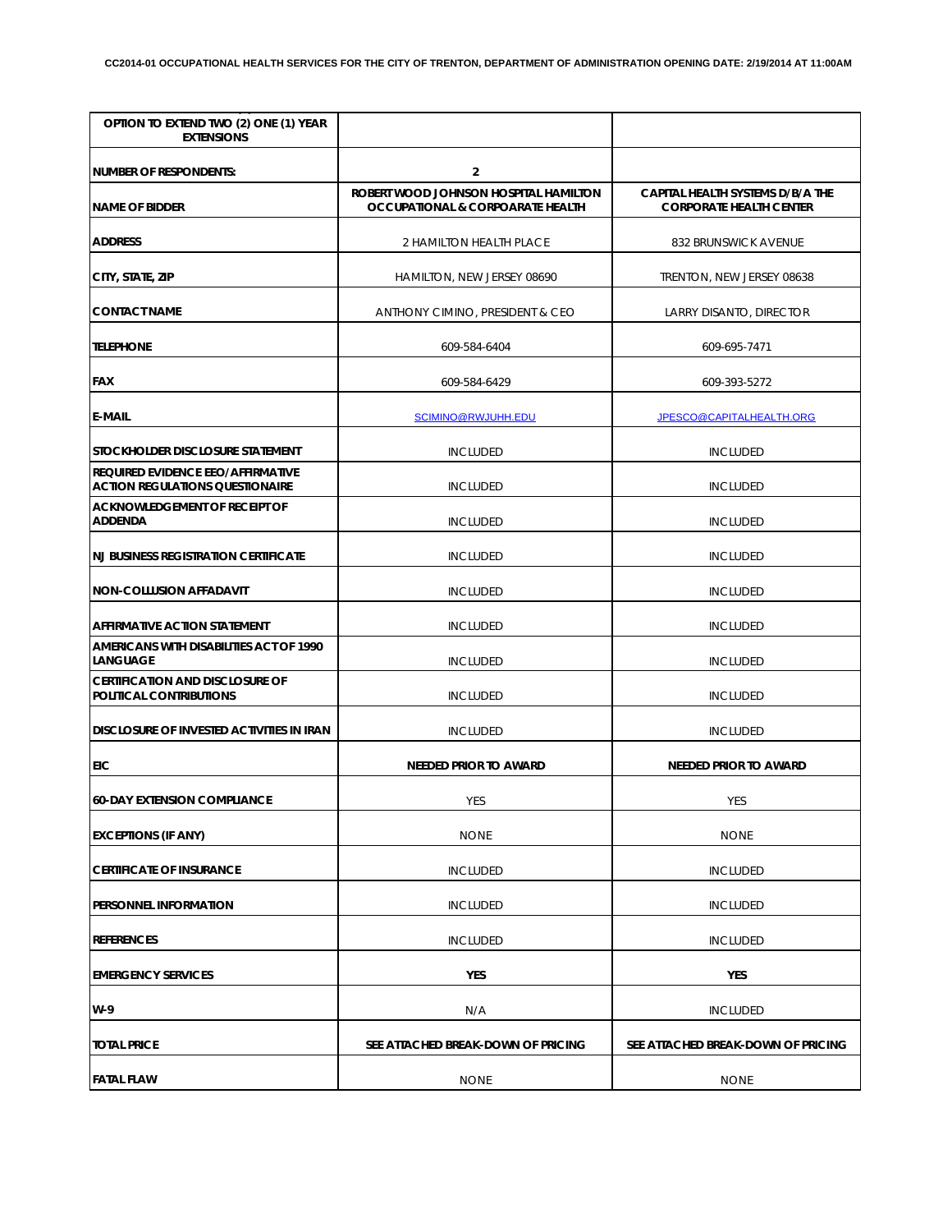| OPTION TO EXTEND TWO (2) ONE (1) YEAR<br><b>EXTENSIONS</b>                  |                                                                                      |                                                                    |
|-----------------------------------------------------------------------------|--------------------------------------------------------------------------------------|--------------------------------------------------------------------|
| NUMBER OF RESPONDENTS:                                                      | $\overline{2}$                                                                       |                                                                    |
| <b>NAME OF BIDDER</b>                                                       | ROBERT WOOD JOHNSON HOSPITAL HAMILTON<br><b>OCCUPATIONAL &amp; CORPOARATE HEALTH</b> | CAPITAL HEALTH SYSTEMS D/B/A THE<br><b>CORPORATE HEALTH CENTER</b> |
| <b>ADDRESS</b>                                                              | 2 HAMILTON HEALTH PLACE                                                              | 832 BRUNSWICK AVENUE                                               |
| CITY, STATE, ZIP                                                            | HAMILTON, NEW JERSEY 08690                                                           | TRENTON, NEW JERSEY 08638                                          |
| <b>CONTACT NAME</b>                                                         | ANTHONY CIMINO, PRESIDENT & CEO                                                      | <b>LARRY DISANTO, DIRECTOR</b>                                     |
| <b>TELEPHONE</b>                                                            | 609-584-6404                                                                         | 609-695-7471                                                       |
| <b>FAX</b>                                                                  | 609-584-6429                                                                         | 609-393-5272                                                       |
| <b>E-MAIL</b>                                                               | SCIMINO@RWJUHH.EDU                                                                   | JPESCO@CAPITALHEALTH.ORG                                           |
| STOCKHOLDER DISCLOSURE STATEMENT                                            | <b>INCLUDED</b>                                                                      | <b>INCLUDED</b>                                                    |
| REQUIRED EVIDENCE EEO/AFFIRMATIVE<br><b>ACTION REGULATIONS QUESTIONAIRE</b> | <b>INCLUDED</b>                                                                      | <b>INCLUDED</b>                                                    |
| <b>ACKNOWLEDGEMENT OF RECEIPT OF</b><br><b>ADDENDA</b>                      | <b>INCLUDED</b>                                                                      | <b>INCLUDED</b>                                                    |
| <b>NJ BUSINESS REGISTRATION CERTIFICATE</b>                                 | <b>INCLUDED</b>                                                                      | <b>INCLUDED</b>                                                    |
| <b>NON-COLLUSION AFFADAVIT</b>                                              | <b>INCLUDED</b>                                                                      | <b>INCLUDED</b>                                                    |
| <b>AFFIRMATIVE ACTION STATEMENT</b>                                         | <b>INCLUDED</b>                                                                      | <b>INCLUDED</b>                                                    |
| AMERICANS WITH DISABILITIES ACT OF 1990<br>LANGUAGE                         | <b>INCLUDED</b>                                                                      | <b>INCLUDED</b>                                                    |
| <b>CERTIFICATION AND DISCLOSURE OF</b><br>POLITICAL CONTRIBUTIONS           | <b>INCLUDED</b>                                                                      | <b>INCLUDED</b>                                                    |
| <b>DISCLOSURE OF INVESTED ACTIVITIES IN IRAN</b>                            | <b>INCLUDED</b>                                                                      | <b>INCLUDED</b>                                                    |
| <b>EIC</b>                                                                  | NEEDED PRIOR TO AWARD                                                                | <b>NEEDED PRIOR TO AWARD</b>                                       |
| <b>60-DAY EXTENSION COMPLIANCE</b>                                          | YES                                                                                  | YES                                                                |
| <b>EXCEPTIONS (IF ANY)</b>                                                  | <b>NONE</b>                                                                          | <b>NONE</b>                                                        |
| <b>CERTIFICATE OF INSURANCE</b>                                             | <b>INCLUDED</b>                                                                      | <b>INCLUDED</b>                                                    |
| PERSONNEL INFORMATION                                                       | <b>INCLUDED</b>                                                                      | <b>INCLUDED</b>                                                    |
| <b>REFERENCES</b>                                                           | <b>INCLUDED</b>                                                                      | <b>INCLUDED</b>                                                    |
| <b>EMERGENCY SERVICES</b>                                                   | YES                                                                                  | YES                                                                |
| W-9                                                                         | N/A                                                                                  | <b>INCLUDED</b>                                                    |
| <b>TOTAL PRICE</b>                                                          | SEE ATTACHED BREAK-DOWN OF PRICING                                                   | SEE ATTACHED BREAK-DOWN OF PRICING                                 |
| <b>FATAL FLAW</b>                                                           | <b>NONE</b>                                                                          | <b>NONE</b>                                                        |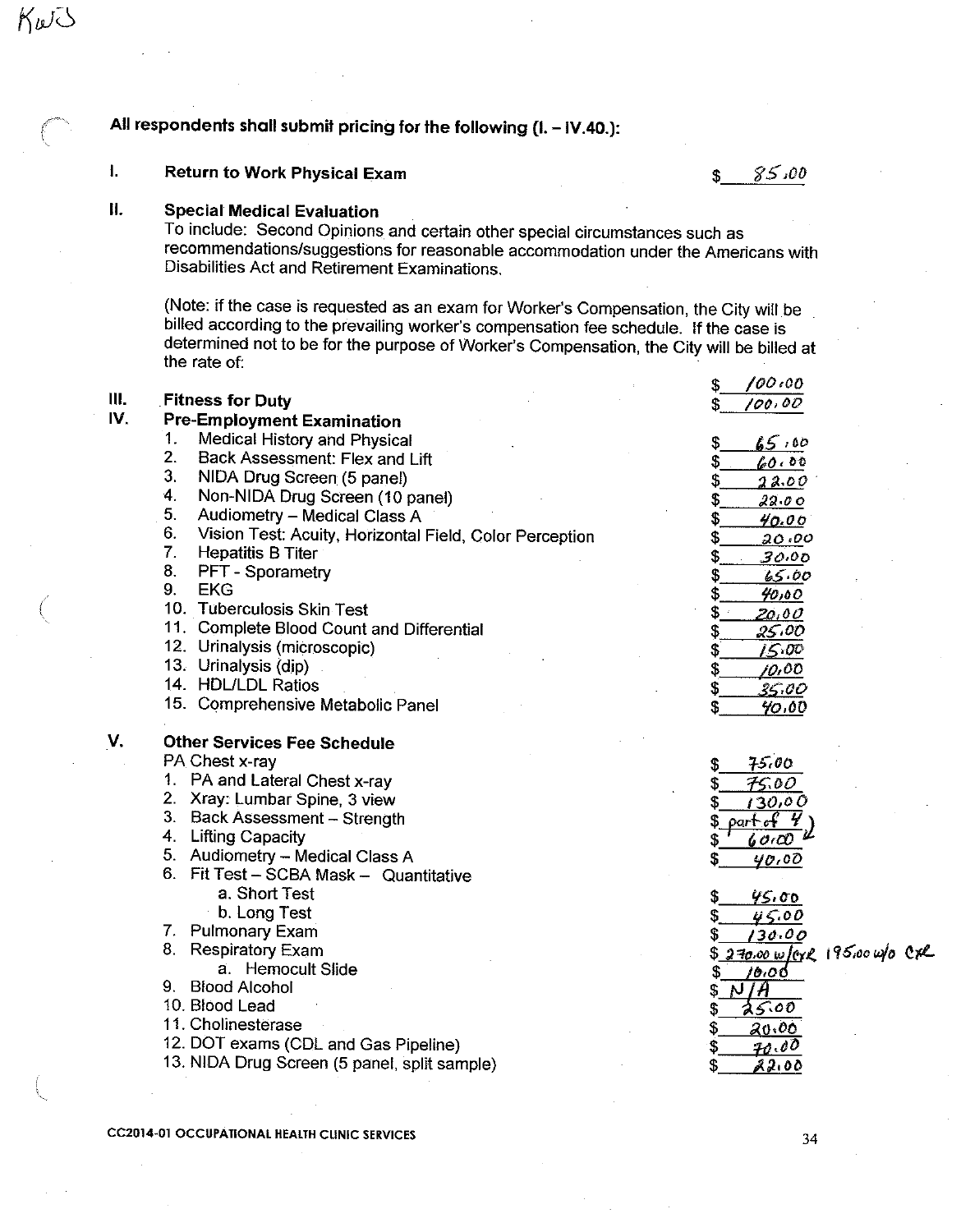# All respondents shall submit pricing for the following (I. - IV.40.):

### $\mathbf{L}$ **Return to Work Physical Exam**

 $85,00$  $\mathfrak{S}$ 

#### Н. **Special Medical Evaluation**

KWJ

To include: Second Opinions and certain other special circumstances such as recommendations/suggestions for reasonable accommodation under the Americans with Disabilities Act and Retirement Examinations.

(Note: if the case is requested as an exam for Worker's Compensation, the City will be billed according to the prevailing worker's compensation fee schedule. If the case is determined not to be for the purpose of Worker's Compensation, the City will be billed at the rate of:

|     |                                                               | 100:00<br>S                   |
|-----|---------------------------------------------------------------|-------------------------------|
| Ш.  | <b>Fitness for Duty</b>                                       | 100,00                        |
| IV. | <b>Pre-Employment Examination</b>                             |                               |
|     | 1 <sub>1</sub><br>Medical History and Physical                | 65,00                         |
|     | 2.<br>Back Assessment: Flex and Lift                          | 60.00                         |
|     | 3.<br>NIDA Drug Screen (5 panel)                              | 22.00                         |
|     | 4.<br>Non-NIDA Drug Screen (10 panel)                         | 22.00                         |
|     | 5.<br>Audiometry - Medical Class A                            | S<br>40.00                    |
|     | 6.<br>Vision Test: Acuity, Horizontal Field, Color Perception | S<br>20.00                    |
|     | 7.<br><b>Hepatitis B Titer</b>                                | 30.00                         |
|     | 8.<br>PFT - Sporametry                                        | 65.00<br>S                    |
|     | 9.<br><b>EKG</b>                                              | \$<br>40,00                   |
|     | 10. Tuberculosis Skin Test                                    | S<br><u>20,00</u>             |
|     | 11. Complete Blood Count and Differential                     | 25,00<br>\$                   |
|     | 12. Urinalysis (microscopic)                                  | 15.00                         |
|     | 13. Urinalysis (dip).                                         | <u>10,00</u><br>\$            |
|     | 14. HDL/LDL Ratios                                            | S<br><u>35.00</u>             |
|     | 15. Comprehensive Metabolic Panel                             | 40,00                         |
| V.  | <b>Other Services Fee Schedule</b>                            |                               |
|     | PA Chest x-ray                                                | 75.00<br>\$                   |
|     | 1. PA and Lateral Chest x-ray                                 | 75.00                         |
|     | 2. Xray: Lumbar Spine, 3 view                                 | 130,00                        |
|     | 3. Back Assessment - Strength                                 | part of 4                     |
|     | 4. Lifting Capacity                                           | 6000                          |
|     | 5. Audiometry - Medical Class A                               | S<br>40.00                    |
|     | 6. Fit Test - SCBA Mask - Quantitative                        |                               |
|     | a. Short Test                                                 | 45.00<br>S                    |
|     | b. Long Test                                                  | 45.00<br>S                    |
|     | 7. Pulmonary Exam                                             | 130.00                        |
|     | 8. Respiratory Exam                                           | \$270.00 w/cx2 195.00 w/0 Cx2 |
|     | a. Hemocult Slide                                             | 10.00<br>S.                   |
|     | 9. Blood Alcohol                                              | N/A<br>\$.                    |
|     | 10. Blood Lead                                                | 25.00                         |
|     | 11. Cholinesterase                                            | \$<br>20.00                   |
|     | 12. DOT exams (CDL and Gas Pipeline)                          | <u> 70.00</u><br>\$           |
|     | 13. NIDA Drug Screen (5 panel, split sample)                  | 22.00                         |
|     |                                                               |                               |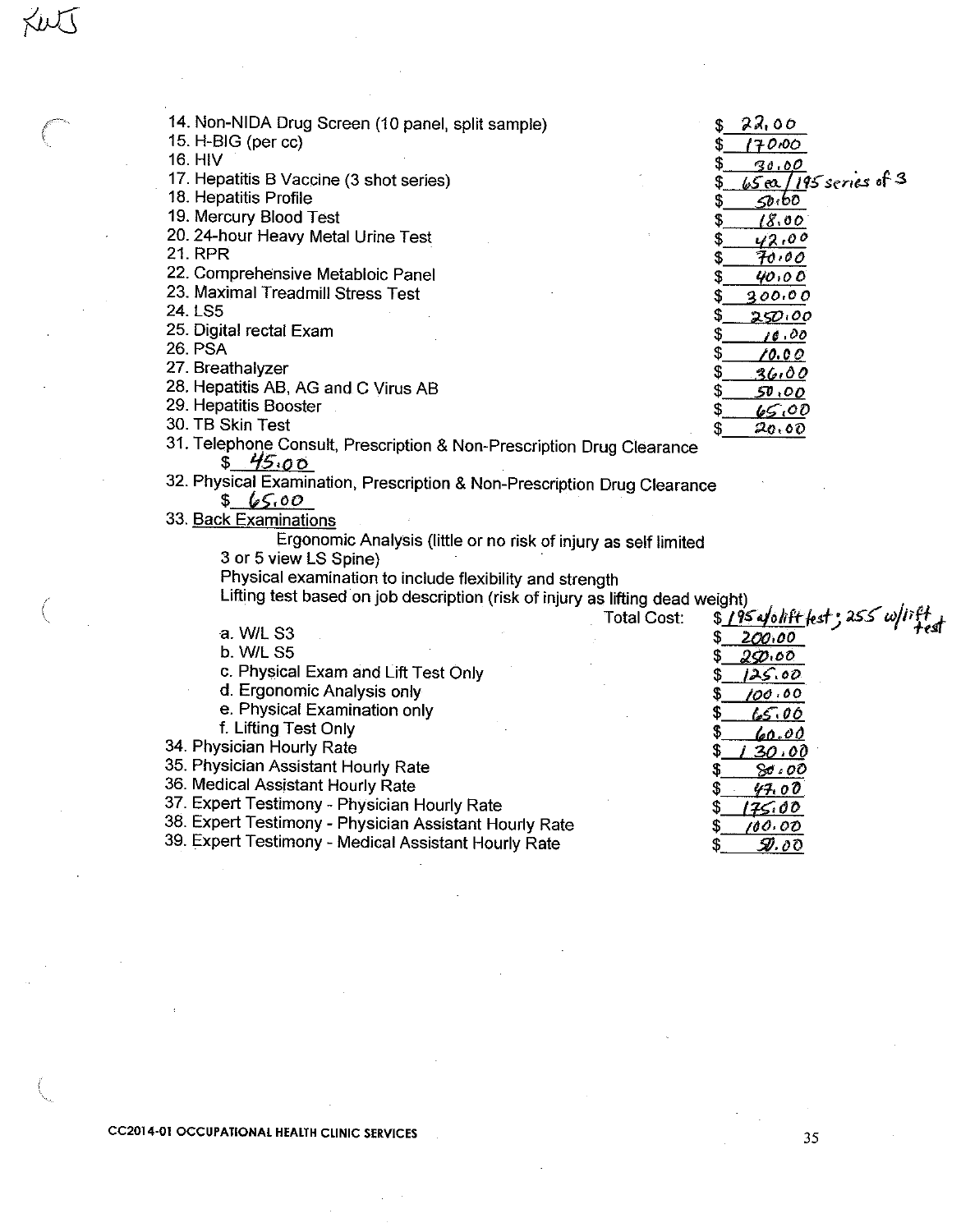| 14. Non-NIDA Drug Screen (10 panel, split sample)                             |             | 22,00                                      |
|-------------------------------------------------------------------------------|-------------|--------------------------------------------|
| 15. H-BIG (per cc)                                                            |             | 170.00                                     |
| 16. HIV                                                                       |             | 30.00                                      |
| 17. Hepatitis B Vaccine (3 shot series)                                       |             | $65a/195$ series of 3<br>S                 |
| 18. Hepatitis Profile                                                         |             | 50.60<br>S                                 |
| 19. Mercury Blood Test                                                        |             | 18.00<br>S                                 |
| 20. 24-hour Heavy Metal Urine Test                                            |             | 42,00<br>\$                                |
| <b>21. RPR</b>                                                                |             | 70.00<br>S                                 |
| 22. Comprehensive Metabloic Panel                                             |             | \$<br>40,00                                |
| 23. Maximal Treadmill Stress Test                                             |             | 300.00<br>S                                |
| 24. LS5                                                                       |             | \$<br>250.00                               |
| 25. Digital rectal Exam                                                       |             | \$<br>10.00                                |
| <b>26 PSA</b>                                                                 |             | \$<br>10.00                                |
| 27. Breathalyzer                                                              |             | \$<br><u>36,00</u>                         |
| 28. Hepatitis AB, AG and C Virus AB                                           |             | \$<br>50,00                                |
| 29. Hepatitis Booster                                                         |             | \$<br>65,00                                |
| 30. TB Skin Test                                                              |             | 20.00<br>\$                                |
| 31. Telephone Consult, Prescription & Non-Prescription Drug Clearance         |             |                                            |
| 45.00                                                                         |             |                                            |
| 32. Physical Examination, Prescription & Non-Prescription Drug Clearance      |             |                                            |
| 86.00                                                                         |             |                                            |
| 33. Back Examinations                                                         |             |                                            |
| Ergonomic Analysis (little or no risk of injury as self limited               |             |                                            |
| 3 or 5 view LS Spine)                                                         |             |                                            |
| Physical examination to include flexibility and strength                      |             |                                            |
| Lifting test based on job description (risk of injury as lifting dead weight) |             |                                            |
|                                                                               | Total Cost: | alyin)<br>\$ 195 a/olift fest ; 255 w/iift |
| a. W/L S3                                                                     |             | \$<br>200.00                               |
| b. W/L S5                                                                     |             | \$<br>29.00                                |
| c. Physical Exam and Lift Test Only                                           |             | 125.00<br>\$                               |
| d. Ergonomic Analysis only                                                    |             | 100.00<br>Ş                                |
| e. Physical Examination only                                                  |             | \$.<br>65.00                               |
| f. Lifting Test Only                                                          |             | \$<br>60.00                                |
| 34. Physician Hourly Rate                                                     |             | \$<br>30.00                                |
| 35. Physician Assistant Hourly Rate                                           |             | s<br>80,00                                 |
| 36. Medical Assistant Hourly Rate                                             |             | 4700<br>S                                  |
| 37. Expert Testimony - Physician Hourly Rate                                  |             | 175.00<br>S                                |
| 38. Expert Testimony - Physician Assistant Hourly Rate                        |             | 100.00<br>\$                               |
| 39. Expert Testimony - Medical Assistant Hourly Rate                          |             | 9.00<br>\$                                 |

 $\bar{z}$ 

Xut

€

 $\mathcal{L}$ 

35

 $\bar{\mathbf{x}}$ 

 $\bar{\beta}$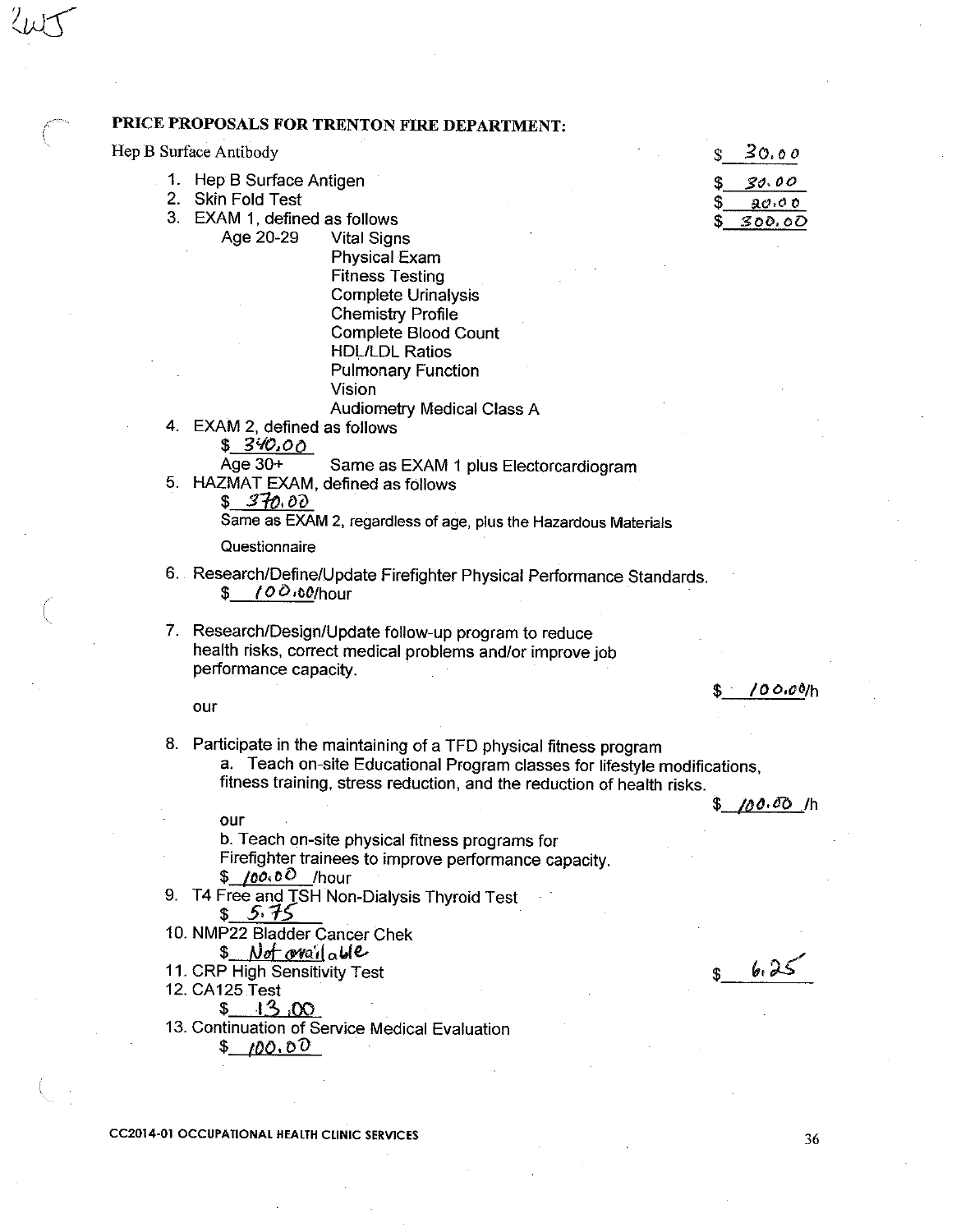|  | PRICE PROPOSALS FOR TRENTON FIRE DEPARTMENT:                                                                                                                                                                               |                                      |
|--|----------------------------------------------------------------------------------------------------------------------------------------------------------------------------------------------------------------------------|--------------------------------------|
|  | Hep B Surface Antibody                                                                                                                                                                                                     | 30.00<br>\$                          |
|  | 1. Hep B Surface Antigen<br>2. Skin Fold Test<br>3. EXAM 1, defined as follows<br>Age 20-29<br><b>Vital Signs</b><br><b>Physical Exam</b><br><b>Fitness Testing</b>                                                        | 30.00<br>\$<br>\$<br>80.00<br>300.00 |
|  | <b>Complete Urinalysis</b><br><b>Chemistry Profile</b><br>Complete Blood Count<br><b>HDL/LDL Ratios</b><br><b>Pulmonary Function</b><br>Vision                                                                             |                                      |
|  | <b>Audiometry Medical Class A</b><br>4. EXAM 2, defined as follows<br>\$340.00                                                                                                                                             |                                      |
|  | Age $30+$<br>Same as EXAM 1 plus Electorcardiogram<br>5. HAZMAT EXAM, defined as follows<br>\$ 370.00<br>Same as EXAM 2, regardless of age, plus the Hazardous Materials                                                   |                                      |
|  | Questionnaire                                                                                                                                                                                                              |                                      |
|  | 6. Research/Define/Update Firefighter Physical Performance Standards.<br>$100.00$ /hour<br>S.                                                                                                                              |                                      |
|  | 7. Research/Design/Update follow-up program to reduce<br>health risks, correct medical problems and/or improve job<br>performance capacity.                                                                                |                                      |
|  | our                                                                                                                                                                                                                        | /00.00/h                             |
|  | 8. Participate in the maintaining of a TFD physical fitness program<br>a. Teach on-site Educational Program classes for lifestyle modifications,<br>fitness training, stress reduction, and the reduction of health risks. |                                      |
|  | our                                                                                                                                                                                                                        | <u>/∂ዕ‹ oo   /h</u><br>\$            |
|  | b. Teach on-site physical fitness programs for<br>Firefighter trainees to improve performance capacity.<br>\$ 100.00 /hour                                                                                                 |                                      |
|  | 9. T4 Free and TSH Non-Dialysis Thyroid Test                                                                                                                                                                               |                                      |
|  | 5.75<br>10. NMP22 Bladder Cancer Chek<br><u>Not ovailable</u><br>\$                                                                                                                                                        |                                      |
|  | 11. CRP High Sensitivity Test<br>12. CA125 Test<br>13,00<br>S.                                                                                                                                                             | 6.25                                 |
|  | 13. Continuation of Service Medical Evaluation<br>\$100.00                                                                                                                                                                 |                                      |
|  |                                                                                                                                                                                                                            |                                      |

**CC2014-01 OCCUPATIONAL HEALTH CLINIC SERVICES** 

 $\sqrt{2}$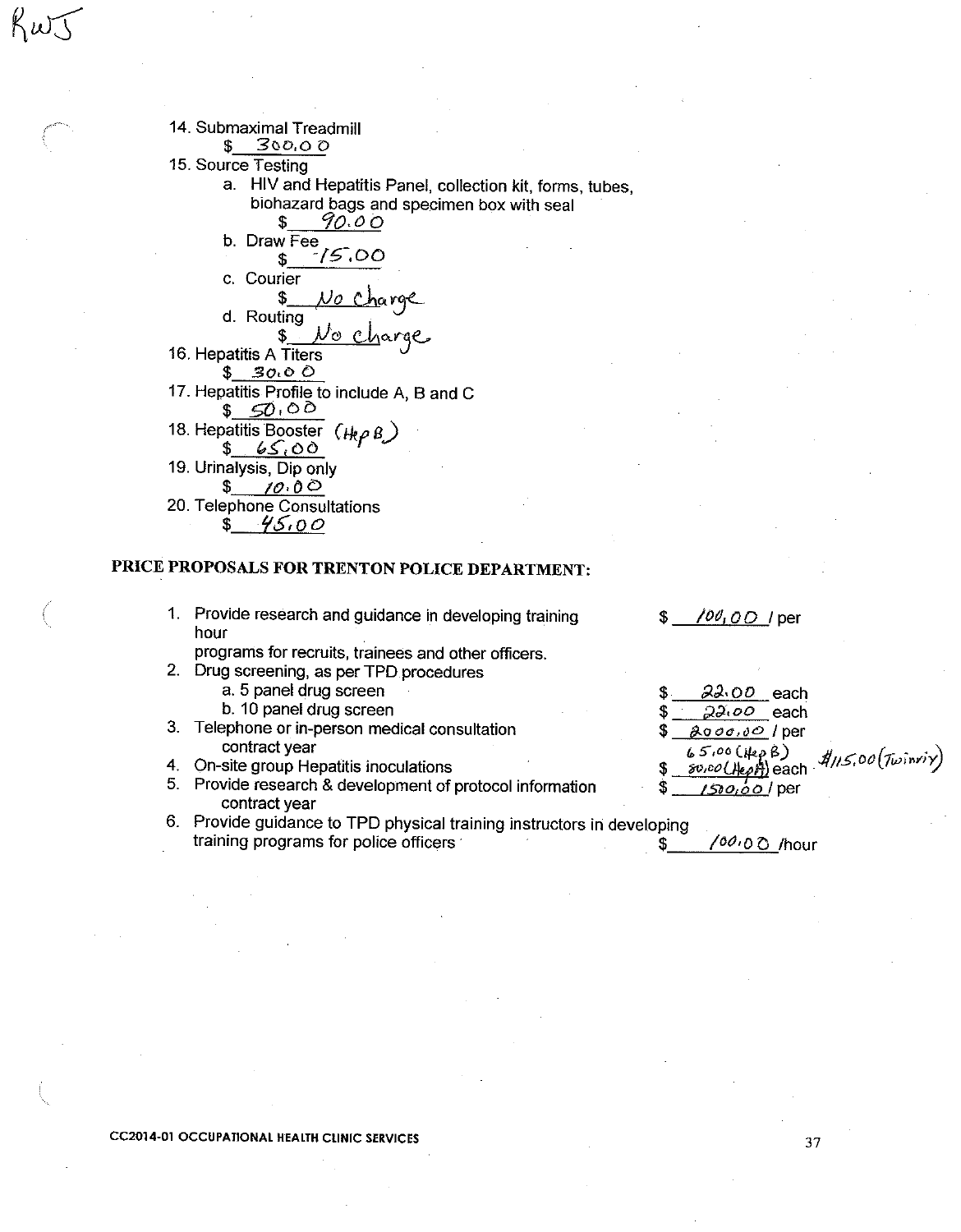

## PRICE PROPOSALS FOR TRENTON POLICE DEPARTMENT:

1. Provide research and guidance in developing training hour

programs for recruits, trainees and other officers.

- 2. Drug screening, as per TPD procedures
	- a. 5 panel drug screen
	- b. 10 panel drug screen
- 3. Telephone or in-person medical consultation contract year
- 4. On-site group Hepatitis inoculations
- 5. Provide research & development of protocol information contract year
- 6. Provide guidance to TPD physical training instructors in developing training programs for police officers \$

\$

/00,00 / per

 $22.00$  each \$  $22.00$  each 2000.00 / per \$  $\frac{\partial O}{\partial \theta}$  each  $\frac{d}{d}$ /15.00 (Twinrix)  $65,00(HepB)$ \$ <u>/5າວ,໐໐ /</u> per

/00,0 O /hour

**CC2014-01 OCCUPATIONAL HEALTH CLINIC SERVICES**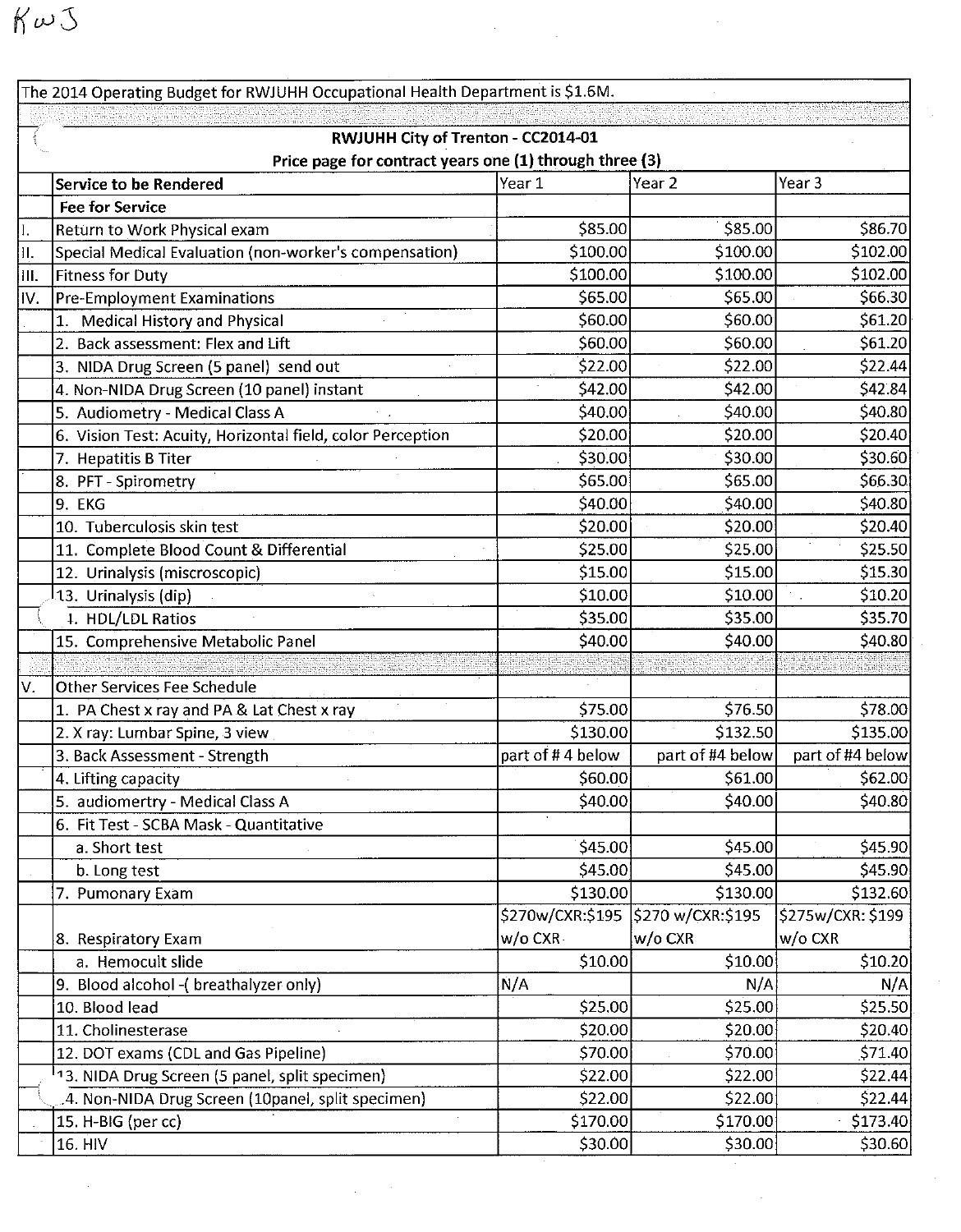$K\omega\Im$ 

The 2014 Operating Budget for RWJUHH Occupational Health Department is \$1.6M. RWJUHH City of Trenton - CC2014-01 Price page for contract years one (1) through three (3) Service to be Rendered Year 1 Year 2 Year 3 **Fee for Service** \$85.00 \$85.00 \$86.70 Return to Work Physical exam \$100.00 \$100.00 \$102.00 Special Medical Evaluation (non-worker's compensation) П. \$100.00 \$100.00 \$102.00 III. lFitness for Dutv \$66.30 **Pre-Employment Examinations** \$65.00 \$65.00 IV. \$61.20 1. Medical History and Physical \$60.00 \$60.00 2. Back assessment: Flex and Lift \$60.00 \$60.00 \$61.20 3. NIDA Drug Screen (5 panel) send out \$22.00 \$22.00 \$22.44 4. Non-NIDA Drug Screen (10 panel) instant \$42.00 \$42.00 \$42.84 \$40.00 \$40.80 5. Audiometry - Medical Class A \$40.00 \$20.40 6. Vision Test: Acuity, Horizontal field, color Perception \$20.00 \$20.00 \$30.00 \$30.00 \$30.60 7. Hepatitis B Titer \$66.30 8. PFT - Spirometry \$65.00 \$65.00 \$40.80 9. EKG \$40.00 \$40.00 10. Tuberculosis skin test \$20.00 \$20.00 \$20.40 11. Complete Blood Count & Differential \$25.00 \$25.00 \$25.50 12. Urinalysis (miscroscopic) \$15.00 \$15.00 \$15.30 \$10.20 <sup>1</sup>13. Urinalysis (dip) \$10.00 \$10.00 4. HDL/LDL Ratios \$35.00 \$35.00 \$35.70 \$40.00 \$40.00 \$40.80 15. Comprehensive Metabolic Panel lOther Services Fee Schedule V. \$75.00 \$76.50 \$78.00 1. PA Chest x ray and PA & Lat Chest x ray 2. X ray: Lumbar Spine, 3 view \$130.00 \$132.50 \$135.00 3. Back Assessment - Strength part of #4 below part of #4 below part of #4 below 4. Lifting capacity \$60.00 \$61.00 \$62.00 \$40.80 5. audiomertry - Medical Class A \$40.00 \$40.00 6. Fit Test - SCBA Mask - Quantitative \$45.00 \$45.00 \$45.90 a. Short test \$45.00 \$45.00 \$45.90 b. Long test 7. Pumonary Exam \$130.00 \$130.00 \$132.60 \$270w/CXR:\$195 \$270 w/CXR:\$195 \$275w/CXR: \$199 8. Respiratory Exam w/o CXRw/o CXR w/o CXR a. Hemocult slide \$10.00 \$10.00 \$10.20 9. Blood alcohol - (breathalyzer only)  $N/A$  $N/A$  $N/A$ 10. Blood lead \$25.00 \$25.00 \$25.50 \$20.40 11. Cholinesterase \$20.00 \$20.00 12. DOT exams (CDL and Gas Pipeline) \$70.00 \$70.00 \$71.40 <sup>1</sup>13. NIDA Drug Screen (5 panel, split specimen) \$22.00 \$22.00 \$22.44 .4. Non-NIDA Drug Screen (10panel, split specimen) \$22.00 \$22.00 \$22.44 15. H-BIG (per cc) \$170.00 \$170.00 \$173.40 16. HIV \$30.00 \$30.00 \$30.60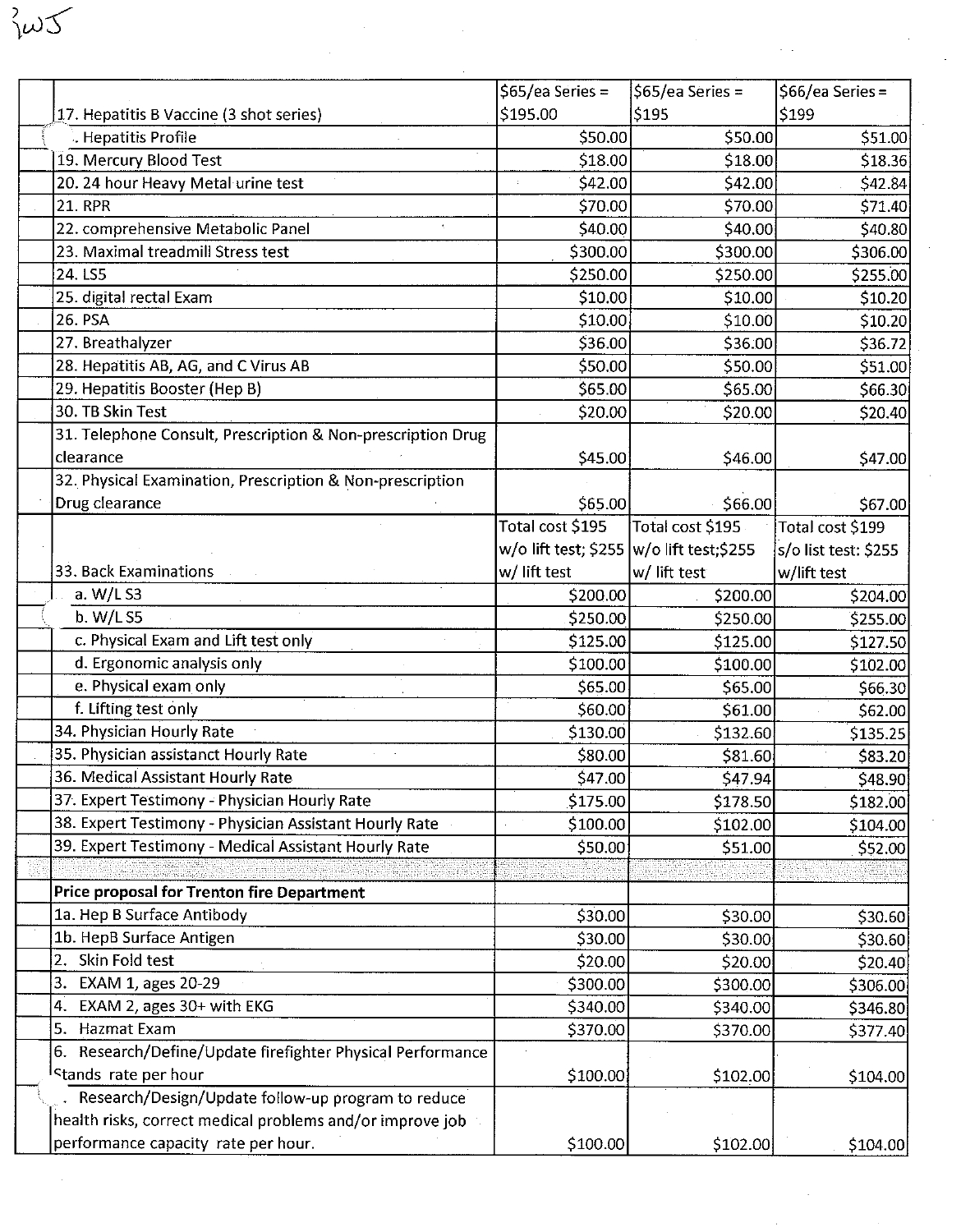|                                                             | $565$ /ea Series =                        | $$65/ea$ Series = | $$66/ea$ Series =    |
|-------------------------------------------------------------|-------------------------------------------|-------------------|----------------------|
| 17. Hepatitis B Vaccine (3 shot series)                     | \$195.00                                  | \$195             | \$199                |
| . Hepatitis Profile                                         | \$50.00                                   | \$50.00           | \$51.00              |
| 19. Mercury Blood Test                                      | \$18.00                                   | \$18.00           | \$18.36              |
| 20. 24 hour Heavy Metal urine test                          | \$42.00                                   | \$42.00           | \$42.84]             |
| <b>21. RPR</b>                                              | \$70.00                                   | \$70.00           | \$71.40              |
| 22. comprehensive Metabolic Panel                           | \$40.00                                   | \$40.00]          | \$40.80              |
| 23. Maximal treadmill Stress test                           | \$300.00                                  | \$300.00          | \$306.00             |
| 24. LS5                                                     | \$250.00                                  | \$250.00          | \$255.00             |
| 25. digital rectal Exam                                     | \$10.00                                   | \$10.00           | \$10.20              |
| 26. PSA                                                     | \$10.00                                   | \$10.00           | \$10.20              |
| 27. Breathalyzer                                            | \$36.00                                   | \$36.00           | \$36.72              |
| 28. Hepatitis AB, AG, and C Virus AB                        | \$50.00                                   | \$50.00           | \$51.00              |
| 29. Hepatitis Booster (Hep B)                               | \$65.00                                   | \$65.00           | \$66.30              |
| 30. TB Skin Test                                            | \$20.00                                   | \$20.00           | \$20.40              |
| 31. Telephone Consult, Prescription & Non-prescription Drug |                                           |                   |                      |
| clearance                                                   | \$45.00                                   | \$46.00           | \$47.00              |
| 32. Physical Examination, Prescription & Non-prescription   |                                           |                   |                      |
| Drug clearance                                              | \$65.00                                   | \$66.00           | \$67.00              |
|                                                             | Total cost \$195                          | Total cost \$195  | Total cost \$199     |
|                                                             | w/o lift test; \$255  w/o lift test;\$255 |                   | s/o list test: \$255 |
| 33. Back Examinations                                       | w/ lift test                              | w/ lift test      | w/lift test          |
| a. W/L S3                                                   | \$200.00                                  | \$200.00          | \$204.00             |
| b. W/L S5                                                   | \$250.00                                  | \$250.00          | \$255.00             |
| c. Physical Exam and Lift test only                         | \$125.00                                  | \$125.00          | \$127.50             |
| d. Ergonomic analysis only                                  | \$100.00                                  | \$100.00          | \$102.00             |
| e. Physical exam only                                       | \$65.00                                   | \$65.00           | \$66.30              |
| f. Lifting test only                                        | \$60.00                                   | \$61.00           | \$62.00              |
| 34. Physician Hourly Rate                                   | \$130.00                                  | \$132.60          | \$135.25             |
| 35. Physician assistanct Hourly Rate                        | \$80.00                                   | \$81.60           | \$83.20              |
| 36. Medical Assistant Hourly Rate                           | \$47.00                                   | \$47.94           | \$48.90              |
| 37. Expert Testimony - Physician Hourly Rate                | \$175.00                                  | \$178.50          | \$182.00             |
| 38. Expert Testimony - Physician Assistant Hourly Rate      | \$100.00                                  | \$102.00          | \$104.00             |
| 39. Expert Testimony - Medical Assistant Hourly Rate        | \$50.00                                   | \$51.00           | \$52.00              |
|                                                             |                                           |                   |                      |
| <b>Price proposal for Trenton fire Department</b>           |                                           |                   |                      |
| 1a. Hep B Surface Antibody                                  | \$30.00                                   | \$30.00           | \$30.60              |
| 1b. HepB Surface Antigen                                    | \$30.00                                   | \$30.00           | \$30.60              |
| 2. Skin Fold test                                           | \$20.00                                   | \$20.00           | \$20.40              |
| EXAM 1, ages 20-29<br>3.                                    | \$300.00                                  | \$300.00          | \$306.00             |
| 4. EXAM 2, ages 30+ with EKG                                | \$340.00                                  | \$340.00          | \$346.80             |
| 5. Hazmat Exam                                              | \$370.00                                  | \$370.00          | \$377.40             |
| 6. Research/Define/Update firefighter Physical Performance  |                                           |                   |                      |
| Stands rate per hour                                        | \$100.00                                  | \$102.00          | \$104.00             |
| Research/Design/Update follow-up program to reduce          |                                           |                   |                      |
| health risks, correct medical problems and/or improve job   |                                           |                   |                      |
| performance capacity rate per hour.                         | \$100.00                                  | \$102.00          | \$104.00             |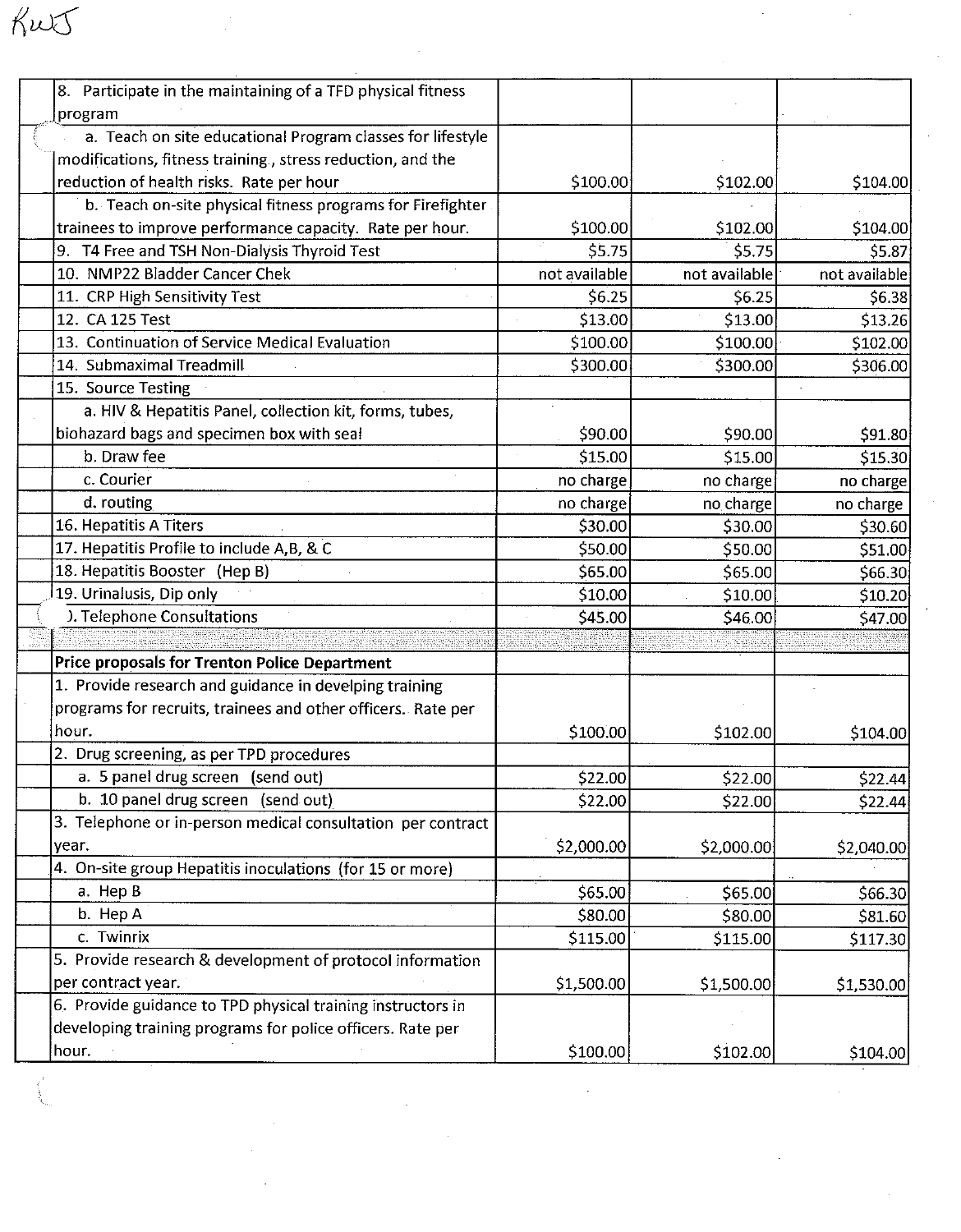| 8. Participate in the maintaining of a TFD physical fitness  |               |               |               |
|--------------------------------------------------------------|---------------|---------------|---------------|
| program                                                      |               |               |               |
| a. Teach on site educational Program classes for lifestyle   |               |               |               |
| modifications, fitness training., stress reduction, and the  |               |               |               |
| reduction of health risks. Rate per hour                     | \$100.00      | \$102.00      | \$104.00      |
| b. Teach on-site physical fitness programs for Firefighter   |               |               |               |
| trainees to improve performance capacity. Rate per hour.     | \$100.00      | \$102.00      | \$104.00      |
| 9. T4 Free and TSH Non-Dialysis Thyroid Test                 | \$5.75        | \$5.75        | \$5.87        |
| 10. NMP22 Bladder Cancer Chek                                | not available | not available | not available |
| 11. CRP High Sensitivity Test                                | \$6.25        | \$6.25        | \$6.38        |
| 12. CA 125 Test                                              | \$13.00       | \$13.00       | \$13.26       |
| 13. Continuation of Service Medical Evaluation               | \$100.00      | \$100.00      | \$102.00      |
| 14. Submaximal Treadmill                                     | \$300.00      | \$300.00      | \$306.00      |
| 15. Source Testing                                           |               |               |               |
| a. HIV & Hepatitis Panel, collection kit, forms, tubes,      |               |               |               |
|                                                              |               |               |               |
| biohazard bags and specimen box with seal<br>b. Draw fee     | \$90.00       | \$90.00       | \$91.80       |
| c. Courier                                                   | \$15.00       | \$15.00       | \$15.30       |
|                                                              | no charge     | no charge     | no charge     |
| d. routing                                                   | no charge     | no charge     | no charge     |
| 16. Hepatitis A Titers                                       | \$30.00       | \$30.00       | \$30.60       |
| 17. Hepatitis Profile to include A,B, & C                    | \$50.00       | \$50.00       | \$51.00       |
| 18. Hepatitis Booster (Hep B)                                | \$65.00       | \$65.00       | \$66.30       |
| 19. Urinalusis, Dip only                                     | \$10.00       | \$10.00       | \$10.20       |
| ). Telephone Consultations                                   | \$45.00       | \$46.00       | \$47.00       |
|                                                              |               |               |               |
| Price proposals for Trenton Police Department                |               |               |               |
| 1. Provide research and guidance in develping training       |               |               |               |
| programs for recruits, trainees and other officers. Rate per |               |               |               |
| hour.                                                        | \$100.00      | \$102.00      | \$104.00      |
| 2. Drug screening, as per TPD procedures                     |               |               |               |
| a. 5 panel drug screen (send out)                            | \$22.00       | \$22.00       | \$22.44       |
| b. 10 panel drug screen (send out)                           | \$22.00       | \$22.00       | \$22.44       |
| 3. Telephone or in-person medical consultation per contract  |               |               |               |
| year.                                                        | \$2,000.00    | \$2,000.00    | \$2,040.00    |
| 4. On-site group Hepatitis inoculations (for 15 or more)     |               |               |               |
| a. Hep B                                                     | \$65.00]      | \$65.00       | \$66.30       |
| b. Hep A                                                     | \$80.00       | \$80.00       | \$81.60       |
| c. Twinrix                                                   | \$115.00      | \$115.00      | \$117.30      |
| 5. Provide research & development of protocol information    |               |               |               |
| per contract year.                                           | \$1,500.00    | \$1,500.00    | \$1,530.00    |
| 6. Provide guidance to TPD physical training instructors in  |               |               |               |
| developing training programs for police officers. Rate per   |               |               |               |
| hour.                                                        | \$100.00      | \$102.00      | \$104.00      |

 $\sim 10^{-1}$ 

 $\frac{1}{2}$ 

 $\sim$ 

 $\mathcal{O}(\mathcal{O}_\mathcal{O})$ 

 $\mathcal{L}^{(1)}$ 

 $\frac{1}{2}$ 

 $K\omega t$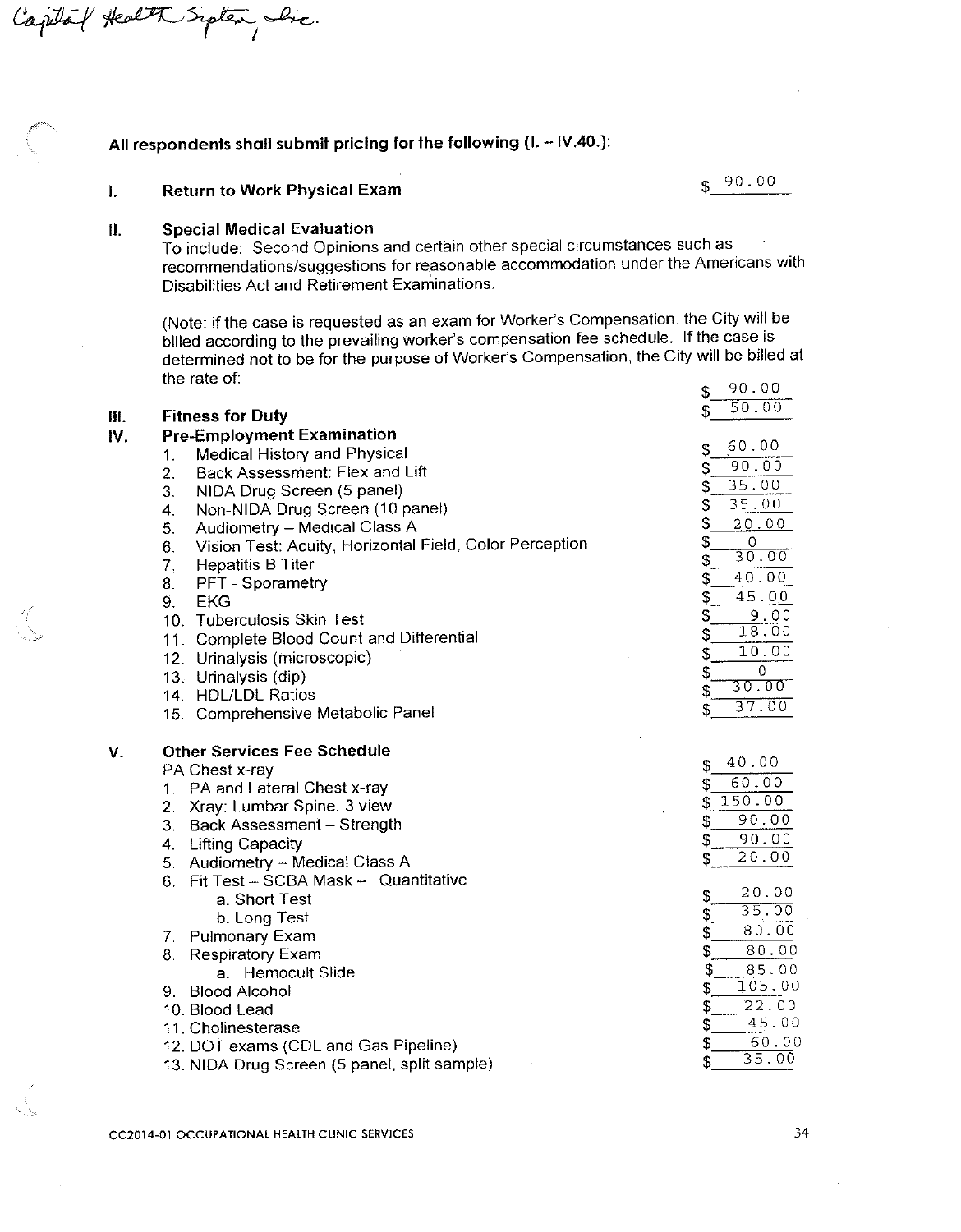### All respondents shall submit pricing for the following (I. - IV.40.):

 $$90.00$ 

#### **Return to Work Physical Exam**  $\mathbf{I}$ .

Inc.

#### $\mathbf{II}$ . **Special Medical Evaluation**

To include: Second Opinions and certain other special circumstances such as recommendations/suggestions for reasonable accommodation under the Americans with Disabilities Act and Retirement Examinations.

(Note: if the case is requested as an exam for Worker's Compensation, the City will be billed according to the prevailing worker's compensation fee schedule. If the case is determined not to be for the purpose of Worker's Compensation, the City will be billed at the rate of:  $00000$ 

|     |                                                               | \$<br>90.UU             |
|-----|---------------------------------------------------------------|-------------------------|
| m.  | <b>Fitness for Duty</b>                                       | 50.00<br>\$             |
| IV. | <b>Pre-Employment Examination</b>                             |                         |
|     | Medical History and Physical<br>1.                            | 60.00<br>\$             |
|     | Back Assessment: Flex and Lift<br>$\overline{2}$ .            | 90.00<br>\$             |
|     | 3.                                                            | 35.00<br>\$             |
|     | NIDA Drug Screen (5 panel)                                    | 35.00<br>\$             |
|     | Non-NIDA Drug Screen (10 panel)<br>4.                         | \$<br>20.00             |
|     | Audiometry - Medical Class A<br>5.                            | \$<br>0                 |
|     | Vision Test: Acuity, Horizontal Field, Color Perception<br>6. | 30.00<br>\$             |
|     | 7,<br><b>Hepatitis B Titer</b>                                | 40.00<br>\$             |
|     | 8.<br>PFT - Sporametry                                        | \$<br>45.00             |
|     | 9.<br><b>EKG</b>                                              | \$<br>9.00              |
|     | 10. Tuberculosis Skin Test                                    | 18.00                   |
|     | 11. Complete Blood Count and Differential                     | \$<br>10.00             |
|     | 12. Urinalysis (microscopic)                                  | \$                      |
|     | 13. Urinalysis (dip)                                          | $\theta$<br>\$<br>30.00 |
|     | 14. HDL/LDL Ratios                                            | \$<br>37.00             |
|     | 15. Comprehensive Metabolic Panel                             | \$                      |
| V.  | <b>Other Services Fee Schedule</b>                            |                         |
|     | PA Chest x-ray                                                | 40.00<br>\$             |
|     | 1. PA and Lateral Chest x-ray                                 | 60.00<br>\$             |
|     | 2. Xray: Lumbar Spine, 3 view                                 | 150.00<br>\$            |
|     | 3. Back Assessment - Strength                                 | 90.00<br>\$             |
|     | 4 Lifting Capacity                                            | 90.00<br>\$             |
|     | 5. Audiometry - Medical Class A                               | 20.00<br>\$             |
|     | 6. Fit Test - SCBA Mask - Quantitative                        |                         |
|     | a. Short Test                                                 | 20.00<br>\$             |
|     | b. Long Test                                                  | 35.00<br>\$             |
|     | 7. Pulmonary Exam                                             | 80.00<br>\$             |
|     | <b>Respiratory Exam</b><br>8.                                 | 80.00<br>\$             |
|     | a. Hemocult Slide                                             | \$<br>85.00             |
|     | 9. Blood Alcohol                                              | 105.00<br>\$            |
|     | 10. Blood Lead                                                | 22.00<br>\$             |
|     | 11. Cholinesterase                                            | 45.00<br>\$             |
|     | 12. DOT exams (CDL and Gas Pipeline)                          | 60.00<br>\$             |
|     | 13. NIDA Drug Screen (5 panel, split sample)                  | 35.00<br>\$             |
|     |                                                               |                         |

Captal Health Sipten,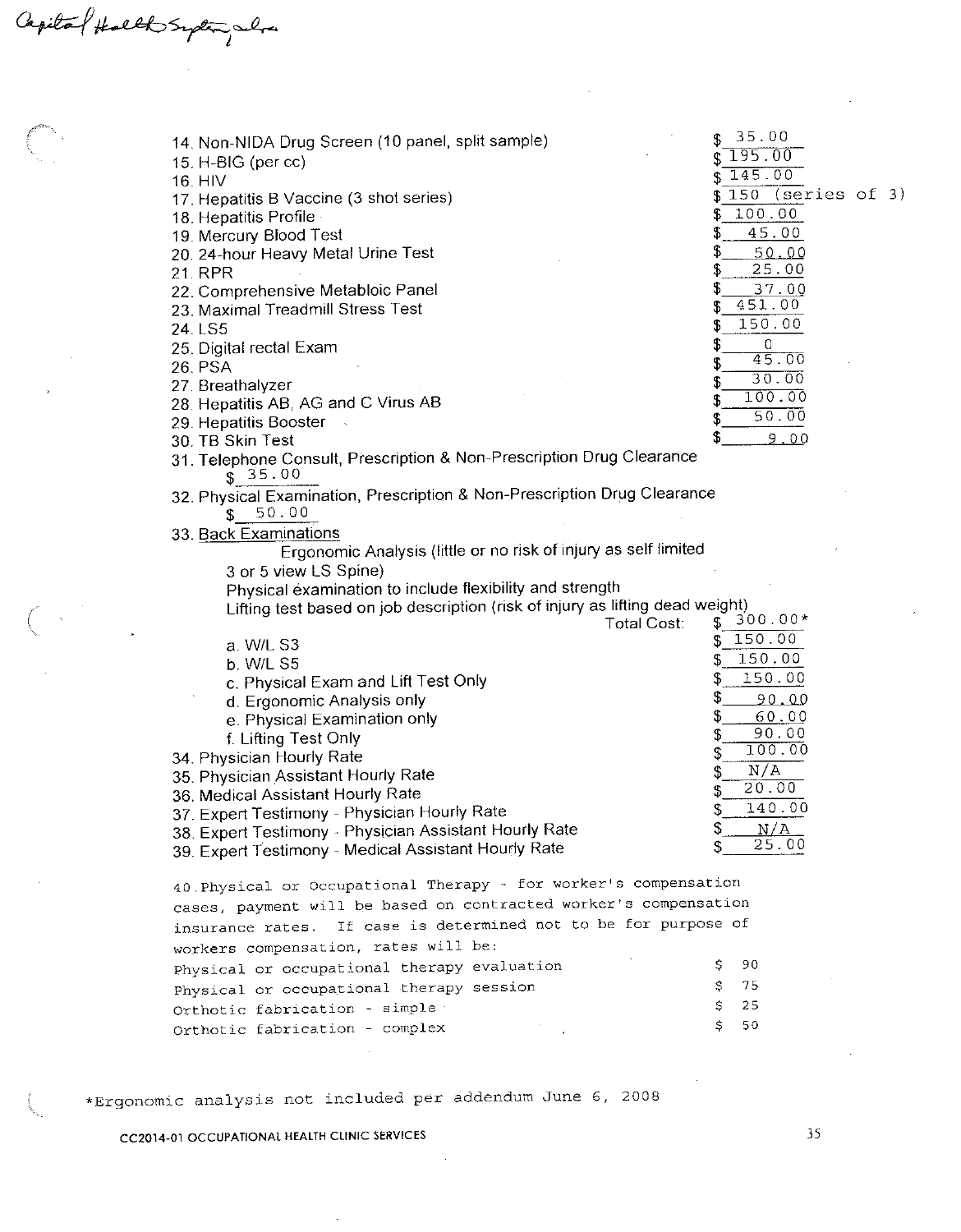Capilal Halth Suplan , when

| 14. Non-NIDA Drug Screen (10 panel, split sample)                             | 35.00                     |
|-------------------------------------------------------------------------------|---------------------------|
| 15. H-BIG (per cc)                                                            | 195.00                    |
| 16. HIV                                                                       | 145.00                    |
| 17. Hepatitis B Vaccine (3 shot series)                                       | $150$ (series of 3)<br>S. |
| 18. Hepatitis Profile                                                         | 100.00<br>\$              |
| 19. Mercury Blood Test                                                        | \$<br>45.00               |
| 20. 24-hour Heavy Metal Urine Test                                            | \$<br>50.00               |
| 21. RPR                                                                       | 25.00<br>S                |
| 22. Comprehensive Metabloic Panel                                             | S<br>37.00                |
| 23. Maximal Treadmill Stress Test                                             | 451.00<br>S               |
| 24. LS5                                                                       | 150.00<br>\$              |
| 25. Digital rectal Exam                                                       | \$<br>0                   |
| <b>26. PSA</b>                                                                | 45.00<br>\$               |
| 27. Breathalyzer                                                              | 30.00<br>\$               |
| 28. Hepatitis AB, AG and C Virus AB                                           | 100.00<br>\$              |
| 29. Hepatitis Booster                                                         | 50.00<br>\$               |
| 30. TB Skin Test                                                              | S<br><u>9.00</u>          |
| 31. Telephone Consult, Prescription & Non-Prescription Drug Clearance         |                           |
| \$35.00                                                                       |                           |
| 32. Physical Examination, Prescription & Non-Prescription Drug Clearance      |                           |
| 50.00<br>S                                                                    |                           |
| 33. Back Examinations                                                         |                           |
| Ergonomic Analysis (little or no risk of injury as self limited               |                           |
| 3 or 5 view LS Spine)                                                         |                           |
| Physical examination to include flexibility and strength                      |                           |
| Lifting test based on job description (risk of injury as lifting dead weight) |                           |
| <b>Total Cost:</b>                                                            | $300.00*$<br>\$           |
| a. W/L S3                                                                     | 150.00<br>\$              |
| b. W/L S5                                                                     | 150,00<br>\$              |
| c. Physical Exam and Lift Test Only                                           | 150.00<br>\$              |
| d. Ergonomic Analysis only                                                    | S<br>90.00                |
| e. Physical Examination only                                                  | \$<br>60.00               |
| f. Lifting Test Only                                                          | 90.00<br>\$               |
| 34. Physician Hourly Rate                                                     | 100.00<br>\$              |
| 35. Physician Assistant Hourly Rate                                           | N/A<br>\$                 |
| 36. Medical Assistant Hourly Rate                                             | 20.00                     |
| 37. Expert Testimony - Physician Hourly Rate                                  | 140.00<br>\$              |
| 38. Expert Testimony - Physician Assistant Hourly Rate                        | N/A<br>\$                 |
| 39. Expert Testimony - Medical Assistant Hourly Rate                          | 25.00                     |
| 40. Physical or Occupational Therapy - for worker's compensation              |                           |
| cases, payment will be based on contracted worker's compensation              |                           |
| incurance rates . If case is determined not to be for purpose of              |                           |

| THROTOMIC TOTCD: IT CODE TO OCCORMING WAS AS NOT LIMIT TO |               |
|-----------------------------------------------------------|---------------|
| workers compensation, rates will be:                      |               |
| Physical or occupational therapy evaluation               | S 90          |
| Physical or occupational therapy session                  | S 75          |
| Orthotic fabrication - simple                             | $\text{S}$ 25 |
| Orthotic fabrication - complex                            | $S = 50$      |

\*Ergonomic analysis not included per addendum June 6, 2008

 $\bar{z}$ 

 $\sim$ 

CC2014-01 OCCUPATIONAL HEALTH CLINIC SERVICES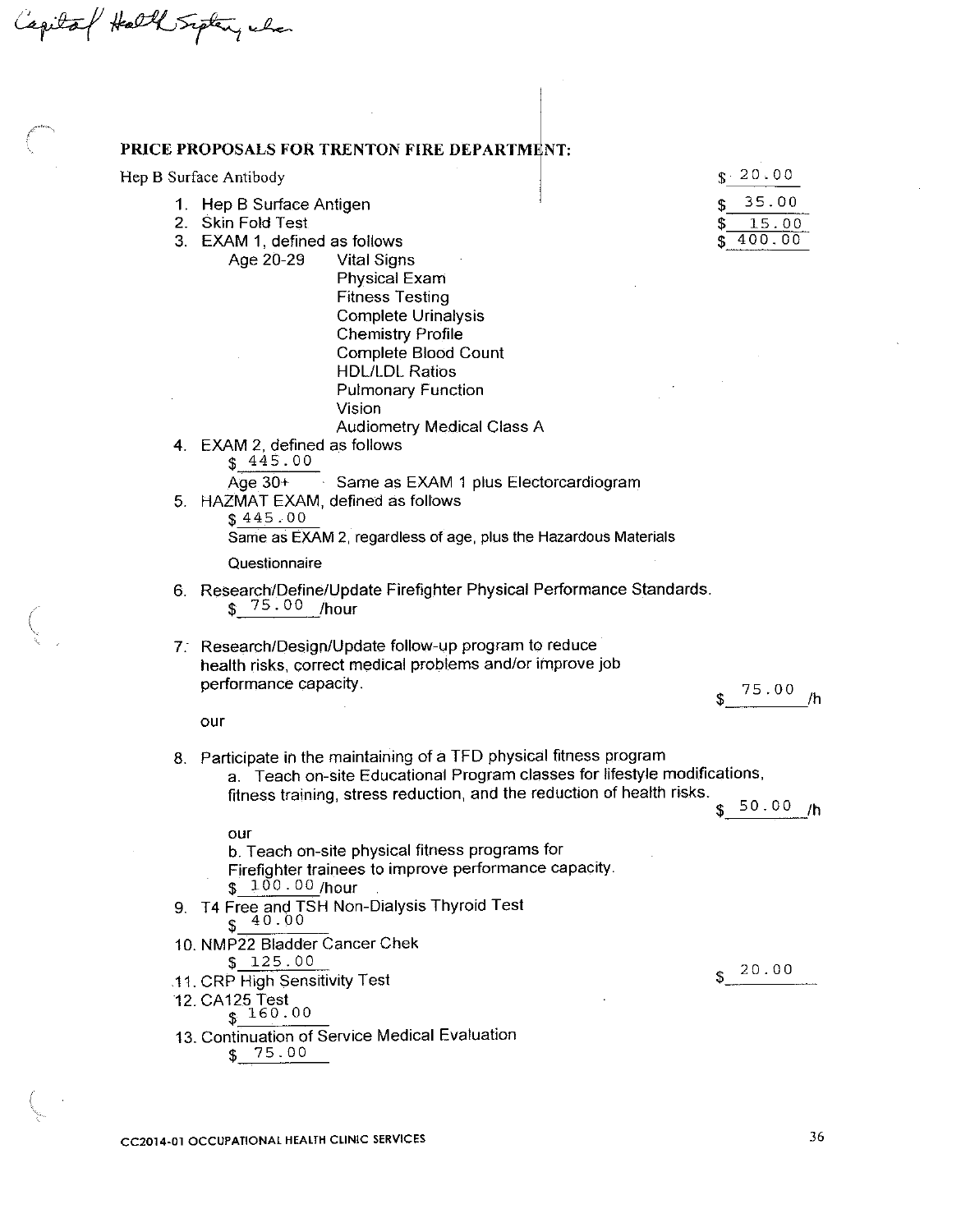Capital Hall Sipten, when

### PRICE PROPOSALS FOR TRENTON FIRE DEPARTMENT:

Hep B Surface Antibody

- 1. Hep B Surface Antigen
- 2. Skin Fold Test
- 3. EXAM 1, defined as follows
	- Age 20-29 **Vital Signs** Physical Exam **Fitness Testing**

 $s - 20.00$ 35.00 \$ 15.00 \$  $400.00$ \$

|    | Complete Urinalysis                                                                                                                                                                                                        |                        |
|----|----------------------------------------------------------------------------------------------------------------------------------------------------------------------------------------------------------------------------|------------------------|
|    | <b>Chemistry Profile</b><br><b>Complete Blood Count</b>                                                                                                                                                                    |                        |
|    | <b>HDL/LDL Ratios</b>                                                                                                                                                                                                      |                        |
|    | <b>Pulmonary Function</b>                                                                                                                                                                                                  |                        |
|    | Vision                                                                                                                                                                                                                     |                        |
|    | <b>Audiometry Medical Class A</b>                                                                                                                                                                                          |                        |
|    | 4. EXAM 2, defined as follows<br>\$445.00                                                                                                                                                                                  |                        |
|    | Age 30+ Same as EXAM 1 plus Electorcardiogram                                                                                                                                                                              |                        |
| 5. | HAZMAT EXAM, defined as follows                                                                                                                                                                                            |                        |
|    | \$445.00                                                                                                                                                                                                                   |                        |
|    | Same as EXAM 2, regardless of age, plus the Hazardous Materials                                                                                                                                                            |                        |
|    | Questionnaire                                                                                                                                                                                                              |                        |
|    | 6. Research/Define/Update Firefighter Physical Performance Standards.<br>$$75.00$ /hour                                                                                                                                    |                        |
|    | 7. Research/Design/Update follow-up program to reduce<br>health risks, correct medical problems and/or improve job<br>performance capacity.                                                                                | 75.00<br>/h            |
|    | our                                                                                                                                                                                                                        |                        |
|    | 8. Participate in the maintaining of a TFD physical fitness program<br>a. Teach on-site Educational Program classes for lifestyle modifications,<br>fitness training, stress reduction, and the reduction of health risks. |                        |
|    |                                                                                                                                                                                                                            | \$ <sup>50.00</sup> /հ |
|    | our                                                                                                                                                                                                                        |                        |
|    | b. Teach on-site physical fitness programs for                                                                                                                                                                             |                        |
|    | Firefighter trainees to improve performance capacity.                                                                                                                                                                      |                        |
|    | $$100.00$ /hour                                                                                                                                                                                                            |                        |
| 9. | T4 Free and TSH Non-Dialysis Thyroid Test<br>40.00                                                                                                                                                                         |                        |
|    | 10. NMP22 Bladder Cancer Chek                                                                                                                                                                                              |                        |
|    | \$125.00                                                                                                                                                                                                                   | 20.00                  |
|    | 11. CRP High Sensitivity Test                                                                                                                                                                                              |                        |
|    | 12. CA125 Test<br>\$160.00                                                                                                                                                                                                 |                        |
|    |                                                                                                                                                                                                                            |                        |
|    | 13. Continuation of Service Medical Evaluation<br>75.00<br>\$                                                                                                                                                              |                        |